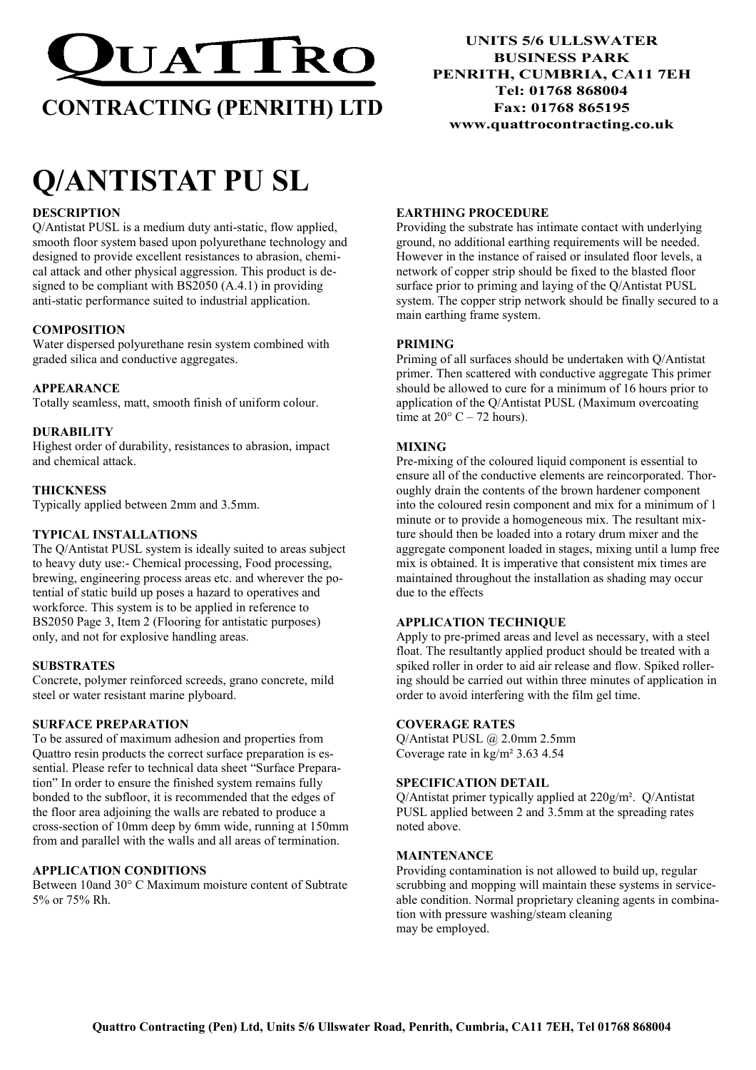

# CONTRACTING (PENRITH) LTD

# Q/ANTISTAT PU SL

# **DESCRIPTION**

Q/Antistat PUSL is a medium duty anti-static, flow applied, smooth floor system based upon polyurethane technology and designed to provide excellent resistances to abrasion, chemical attack and other physical aggression. This product is designed to be compliant with BS2050 (A.4.1) in providing anti-static performance suited to industrial application.

# **COMPOSITION**

Water dispersed polyurethane resin system combined with graded silica and conductive aggregates.

# APPEARANCE

Totally seamless, matt, smooth finish of uniform colour.

# DURABILITY

Highest order of durability, resistances to abrasion, impact and chemical attack.

# **THICKNESS**

Typically applied between 2mm and 3.5mm.

# TYPICAL INSTALLATIONS

The Q/Antistat PUSL system is ideally suited to areas subject to heavy duty use:- Chemical processing, Food processing, brewing, engineering process areas etc. and wherever the potential of static build up poses a hazard to operatives and workforce. This system is to be applied in reference to BS2050 Page 3, Item 2 (Flooring for antistatic purposes) only, and not for explosive handling areas.

# **SUBSTRATES**

Concrete, polymer reinforced screeds, grano concrete, mild steel or water resistant marine plyboard.

# SURFACE PREPARATION

To be assured of maximum adhesion and properties from Quattro resin products the correct surface preparation is essential. Please refer to technical data sheet "Surface Preparation" In order to ensure the finished system remains fully bonded to the subfloor, it is recommended that the edges of the floor area adjoining the walls are rebated to produce a cross-section of 10mm deep by 6mm wide, running at 150mm from and parallel with the walls and all areas of termination.

# APPLICATION CONDITIONS

Between 10and 30° C Maximum moisture content of Subtrate 5% or 75% Rh.

UNITS 5/6 ULLSWATER BUSINESS PARK PENRITH, CUMBRIA, CA11 7EH Tel: 01768 868004 Fax: 01768 865195 www.quattrocontracting.co.uk

# EARTHING PROCEDURE

Providing the substrate has intimate contact with underlying ground, no additional earthing requirements will be needed. However in the instance of raised or insulated floor levels, a network of copper strip should be fixed to the blasted floor surface prior to priming and laying of the Q/Antistat PUSL system. The copper strip network should be finally secured to a main earthing frame system.

# PRIMING

Priming of all surfaces should be undertaken with Q/Antistat primer. Then scattered with conductive aggregate This primer should be allowed to cure for a minimum of 16 hours prior to application of the Q/Antistat PUSL (Maximum overcoating time at  $20^{\circ}$  C – 72 hours).

# MIXING

Pre-mixing of the coloured liquid component is essential to ensure all of the conductive elements are reincorporated. Thoroughly drain the contents of the brown hardener component into the coloured resin component and mix for a minimum of 1 minute or to provide a homogeneous mix. The resultant mixture should then be loaded into a rotary drum mixer and the aggregate component loaded in stages, mixing until a lump free mix is obtained. It is imperative that consistent mix times are maintained throughout the installation as shading may occur due to the effects

# APPLICATION TECHNIQUE

Apply to pre-primed areas and level as necessary, with a steel float. The resultantly applied product should be treated with a spiked roller in order to aid air release and flow. Spiked rollering should be carried out within three minutes of application in order to avoid interfering with the film gel time.

# COVERAGE RATES

Q/Antistat PUSL @ 2.0mm 2.5mm Coverage rate in kg/m² 3.63 4.54

# SPECIFICATION DETAIL

Q/Antistat primer typically applied at 220g/m². Q/Antistat PUSL applied between 2 and 3.5mm at the spreading rates noted above.

# MAINTENANCE

Providing contamination is not allowed to build up, regular scrubbing and mopping will maintain these systems in serviceable condition. Normal proprietary cleaning agents in combination with pressure washing/steam cleaning may be employed.